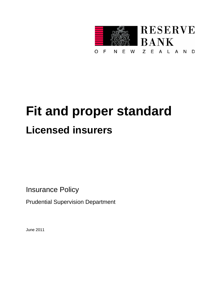

# **Fit and proper standard Licensed insurers**

Insurance Policy

Prudential Supervision Department

June 2011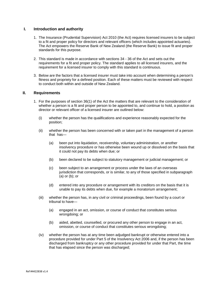## **I. Introduction and authority**

- 1. The Insurance (Prudential Supervision) Act 2010 (the Act) requires licensed insurers to be subject to a fit and proper policy for directors and relevant officers (which includes appointed actuaries). The Act empowers the Reserve Bank of New Zealand (the Reserve Bank) to issue fit and proper standards for this purpose.
- 2. This standard is made in accordance with sections 34 36 of the Act and sets out the requirements for a fit and proper policy. The standard applies to all licensed insurers, and the requirement for a licensed insurer to comply with this standard is continuous.
- 3. Below are the factors that a licensed insurer must take into account when determining a person's fitness and propriety for a defined position. Each of these matters must be reviewed with respect to conduct both within and outside of New Zealand.

#### **II. Requirements**

- 1. For the purposes of section 36(1) of the Act the matters that are relevant to the consideration of whether a person is a fit and proper person to be appointed to, and continue to hold, a position as director or relevant officer of a licensed insurer are outlined below:
	- (i) whether the person has the qualifications and experience reasonably expected for the position;
	- (ii) whether the person has been concerned with or taken part in the management of a person that has—
		- (a) been put into liquidation, receivership, voluntary administration, or another insolvency procedure or has otherwise been wound up or dissolved on the basis that it could not pay its debts when due; or
		- (b) been declared to be subject to statutory management or judicial management; or
		- (c) been subject to an arrangement or process under the laws of an overseas jurisdiction that corresponds, or is similar, to any of those specified in subparagraph (a) or (b); or
		- (d) entered into any procedure or arrangement with its creditors on the basis that it is unable to pay its debts when due, for example a moratorium arrangement;
	- (iii) whether the person has, in any civil or criminal proceedings, been found by a court or tribunal to have—
		- (a) engaged in an act, omission, or course of conduct that constitutes serious wrongdoing; or
		- (b) aided, abetted, counselled, or procured any other person to engage in an act, omission, or course of conduct that constitutes serious wrongdoing;
	- (iv) whether the person has at any time been adjudged bankrupt or otherwise entered into a procedure provided for under Part 5 of the Insolvency Act 2006 and, if the person has been discharged from bankruptcy or any other procedure provided for under that Part, the time that has elapsed since the person was discharged;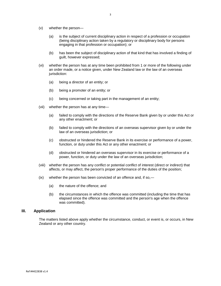- (v) whether the person—
	- (a) is the subject of current disciplinary action in respect of a profession or occupation (being disciplinary action taken by a regulatory or disciplinary body for persons engaging in that profession or occupation); or
	- (b) has been the subject of disciplinary action of that kind that has involved a finding of guilt, however expressed;
- (vi) whether the person has at any time been prohibited from 1 or more of the following under an order made, or a notice given, under New Zealand law or the law of an overseas jurisdiction:
	- (a) being a director of an entity; or
	- (b) being a promoter of an entity; or
	- (c) being concerned or taking part in the management of an entity;
- (vii) whether the person has at any time—
	- (a) failed to comply with the directions of the Reserve Bank given by or under this Act or any other enactment; or
	- (b) failed to comply with the directions of an overseas supervisor given by or under the law of an overseas jurisdiction; or
	- (c) obstructed or hindered the Reserve Bank in its exercise or performance of a power, function, or duty under this Act or any other enactment; or
	- (d) obstructed or hindered an overseas supervisor in its exercise or performance of a power, function, or duty under the law of an overseas jurisdiction;
- (viii) whether the person has any conflict or potential conflict of interest (direct or indirect) that affects, or may affect, the person's proper performance of the duties of the position;
- (ix) whether the person has been convicted of an offence and, if so,—
	- (a) the nature of the offence; and
	- (b) the circumstances in which the offence was committed (including the time that has elapsed since the offence was committed and the person's age when the offence was committed).

### **III. Application**

The matters listed above apply whether the circumstance, conduct, or event is, or occurs, in New Zealand or any other country.